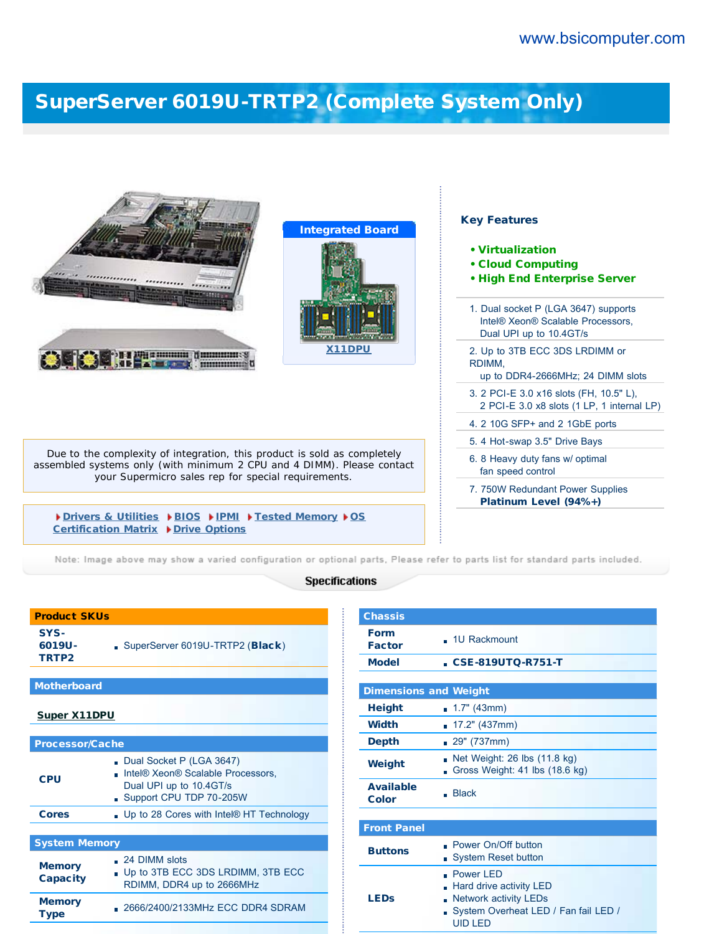## [SuperServer 6019U-TRTP2 \(Complete System Only\)](http://www.bsicomputer.com/products/6019u-trtp2-16285)

| <b>Constantinople and Community</b><br>munum                                                                                                                                                              | <b>Integrated Board</b><br>X11DPU | <b>Key Features</b><br>• Virtualization<br><b>• Cloud Computing</b><br>. High End Enterprise Server<br>1. Dual socket P (LGA 3647) supports<br>Intel® Xeon® Scalable Processors.<br>Dual UPI up to 10.4GT/s<br>2. Up to 3TB ECC 3DS LRDIMM or<br>RDIMM.<br>up to DDR4-2666MHz; 24 DIMM slots<br>3. 2 PCI-E 3.0 x16 slots (FH, 10.5" L),<br>2 PCI-E 3.0 x8 slots (1 LP, 1 internal LP)<br>4. 2 10G SFP+ and 2 1GbE ports |
|-----------------------------------------------------------------------------------------------------------------------------------------------------------------------------------------------------------|-----------------------------------|-------------------------------------------------------------------------------------------------------------------------------------------------------------------------------------------------------------------------------------------------------------------------------------------------------------------------------------------------------------------------------------------------------------------------|
|                                                                                                                                                                                                           |                                   | 5. 4 Hot-swap 3.5" Drive Bays                                                                                                                                                                                                                                                                                                                                                                                           |
| Due to the complexity of integration, this product is sold as completely<br>assembled systems only (with minimum 2 CPU and 4 DIMM). Please contact<br>your Supermicro sales rep for special requirements. |                                   | 6. 8 Heavy duty fans w/ optimal<br>fan speed control                                                                                                                                                                                                                                                                                                                                                                    |
|                                                                                                                                                                                                           |                                   | 7. 750W Redundant Power Supplies<br>Platinum Level (94%+)                                                                                                                                                                                                                                                                                                                                                               |
| Drivers & Utilities DBIOS DIPMI DTested Memory DS<br>Certification Matrix ▶ Drive Options                                                                                                                 |                                   |                                                                                                                                                                                                                                                                                                                                                                                                                         |

Note: Image above may show a varied configuration or optional parts, Please refer to parts list for standard parts included.

## **Specifications**

| SYS-<br>6019U-<br>TRTP <sub>2</sub> | SuperServer 6019U-TRTP2 (Black)                                                                                     |
|-------------------------------------|---------------------------------------------------------------------------------------------------------------------|
|                                     |                                                                                                                     |
| <b>Motherboard</b>                  |                                                                                                                     |
| <b>Super X11DPU</b>                 |                                                                                                                     |
|                                     |                                                                                                                     |
| <b>Processor/Cache</b>              |                                                                                                                     |
| <b>CPU</b>                          | Dual Socket P (LGA 3647)<br>Intel® Xeon® Scalable Processors,<br>Dual UPI up to 10.4GT/s<br>Support CPU TDP 70-205W |
| <b>Cores</b>                        | . Up to 28 Cores with Intel® HT Technology                                                                          |
|                                     |                                                                                                                     |
| <b>System Memory</b>                |                                                                                                                     |
| <b>Memory</b><br><b>Capacity</b>    | $\Box$ 24 DIMM slots<br>Up to 3TB ECC 3DS LRDIMM, 3TB ECC<br>RDIMM, DDR4 up to 2666MHz                              |
| <b>Memory</b><br><b>Type</b>        | . 2666/2400/2133MHz ECC DDR4 SDRAM                                                                                  |

Product SKUs

| <b>Chassis</b>                   |                                                                                                                                       |  |  |
|----------------------------------|---------------------------------------------------------------------------------------------------------------------------------------|--|--|
| <b>Form</b><br><b>Factor</b>     | $-1U$ Rackmount                                                                                                                       |  |  |
| <b>Model</b>                     | <b>CSE-819UTQ-R751-T</b>                                                                                                              |  |  |
|                                  |                                                                                                                                       |  |  |
| <b>Dimensions and Weight</b>     |                                                                                                                                       |  |  |
| <b>Height</b>                    | $\blacksquare$ 1.7" (43mm)                                                                                                            |  |  |
| <b>Width</b>                     | $17.2"$ (437mm)<br>m.                                                                                                                 |  |  |
| <b>Depth</b>                     | $.29^{\circ}$ (737mm)                                                                                                                 |  |  |
| Weight                           | Net Weight: 26 lbs (11.8 kg)<br>Gross Weight: 41 lbs (18.6 kg)                                                                        |  |  |
| <b>Available</b><br><b>Color</b> | <b>Black</b>                                                                                                                          |  |  |
|                                  |                                                                                                                                       |  |  |
| <b>Front Panel</b>               |                                                                                                                                       |  |  |
| <b>Buttons</b>                   | . Power On/Off button<br><b>System Reset button</b><br>n                                                                              |  |  |
| <b>LEDs</b>                      | . Power LED<br>Hard drive activity LED<br><b>Network activity LEDs</b><br>h<br>System Overheat LED / Fan fail LED /<br><b>UID LED</b> |  |  |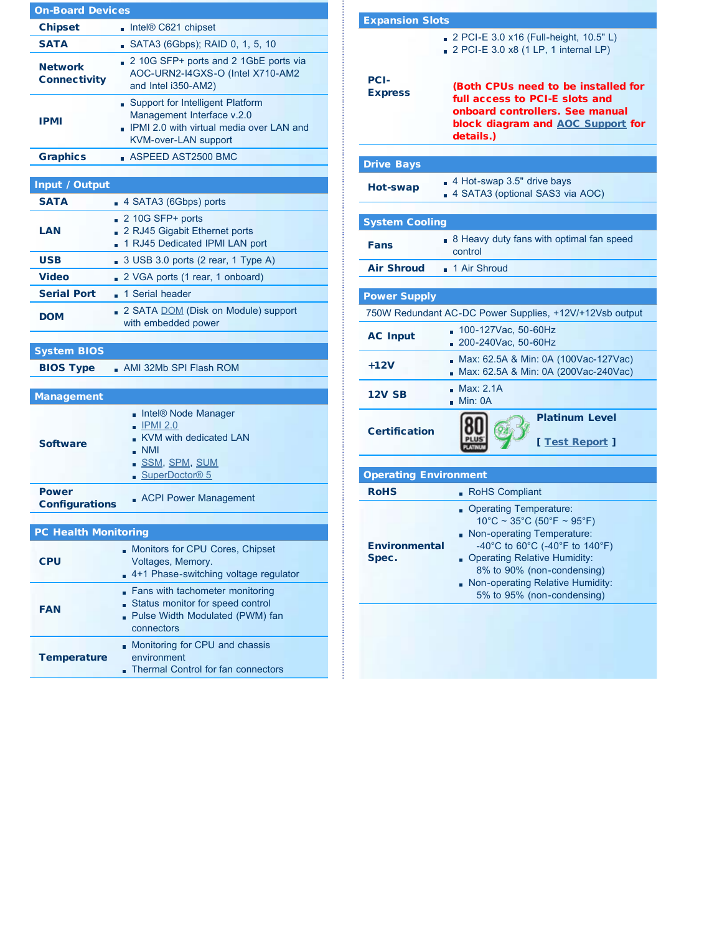| <b>On-Board Devices</b>               |                                                                                                                                           |  |  |
|---------------------------------------|-------------------------------------------------------------------------------------------------------------------------------------------|--|--|
| <b>Chipset</b>                        | $\blacksquare$ Intel® C621 chipset                                                                                                        |  |  |
| <b>SATA</b>                           | SATA3 (6Gbps); RAID 0, 1, 5, 10                                                                                                           |  |  |
| <b>Network</b><br>Connectivity        | 2 10G SFP+ ports and 2 1GbE ports via<br>AOC-URN2-I4GXS-O (Intel X710-AM2<br>and Intel i350-AM2)                                          |  |  |
| IPMI                                  | Support for Intelligent Platform<br>Management Interface v.2.0<br>IPMI 2.0 with virtual media over LAN and<br><b>KVM-over-LAN support</b> |  |  |
| <b>Graphics</b>                       | $\blacksquare$ ASPEED AST2500 BMC                                                                                                         |  |  |
|                                       |                                                                                                                                           |  |  |
| Input / Output                        |                                                                                                                                           |  |  |
| <b>SATA</b>                           | $\blacksquare$ 4 SATA3 (6Gbps) ports                                                                                                      |  |  |
| LAN                                   | $210G$ SFP+ ports<br>2 RJ45 Gigabit Ethernet ports<br>1 RJ45 Dedicated IPMI LAN port                                                      |  |  |
| <b>USB</b>                            | 3 USB 3.0 ports (2 rear, 1 Type A)                                                                                                        |  |  |
| <b>Video</b>                          | 2 VGA ports (1 rear, 1 onboard)                                                                                                           |  |  |
| <b>Serial Port</b>                    | ■ 1 Serial header                                                                                                                         |  |  |
| <b>DOM</b>                            | 2 SATA DOM (Disk on Module) support<br>with embedded power                                                                                |  |  |
| <b>System BIOS</b>                    |                                                                                                                                           |  |  |
| <b>BIOS Type</b>                      | $\blacksquare$ AMI 32Mb SPI Flash ROM                                                                                                     |  |  |
| <b>Management</b>                     |                                                                                                                                           |  |  |
| <b>Software</b>                       | Intel® Node Manager<br>$\blacksquare$ IPMI 2.0<br>KVM with dedicated LAN<br>$\blacksquare$ NMI<br>SSM, SPM, SUM<br>SuperDoctor® 5         |  |  |
| <b>Power</b><br><b>Configurations</b> | <b>ACPI Power Management</b>                                                                                                              |  |  |
| <b>PC Health Monitoring</b>           |                                                                                                                                           |  |  |
| <b>CPU</b>                            | Monitors for CPU Cores, Chipset<br>Voltages, Memory.<br>4+1 Phase-switching voltage regulator                                             |  |  |
| <b>FAN</b>                            | Fans with tachometer monitoring<br>Status monitor for speed control                                                                       |  |  |
|                                       | - Pulse Width Modulated (PWM) fan<br>connectors                                                                                           |  |  |

| <b>Expansion Slots</b>        |                                                                                                                                                                                                                                                                 |  |  |
|-------------------------------|-----------------------------------------------------------------------------------------------------------------------------------------------------------------------------------------------------------------------------------------------------------------|--|--|
|                               | 2 PCI-E 3.0 x16 (Full-height, 10.5" L)<br>2 PCI-E 3.0 x8 (1 LP, 1 internal LP)                                                                                                                                                                                  |  |  |
| PCI-<br><b>Express</b>        | (Both CPUs need to be installed for<br>full access to PCI-E slots and<br>onboard controllers. See manual<br>block diagram and AOC Support for<br>details.)                                                                                                      |  |  |
| <b>Drive Bays</b>             |                                                                                                                                                                                                                                                                 |  |  |
| Hot-swap                      | 4 Hot-swap 3.5" drive bays<br>4 SATA3 (optional SAS3 via AOC)                                                                                                                                                                                                   |  |  |
| <b>System Cooling</b>         |                                                                                                                                                                                                                                                                 |  |  |
| Fans                          | B Heavy duty fans with optimal fan speed<br>control                                                                                                                                                                                                             |  |  |
| <b>Air Shroud</b>             | 1 Air Shroud                                                                                                                                                                                                                                                    |  |  |
|                               |                                                                                                                                                                                                                                                                 |  |  |
| <b>Power Supply</b>           |                                                                                                                                                                                                                                                                 |  |  |
|                               | 750W Redundant AC-DC Power Supplies, +12V/+12Vsb output                                                                                                                                                                                                         |  |  |
| <b>AC Input</b>               | 100-127Vac, 50-60Hz<br>m.<br>200-240Vac, 50-60Hz                                                                                                                                                                                                                |  |  |
| $+12V$                        | Max: 62.5A & Min: 0A (100Vac-127Vac)<br>Max: 62.5A & Min: 0A (200Vac-240Vac)                                                                                                                                                                                    |  |  |
| <b>12V SB</b>                 | Max: 2.1A<br>Min: OA                                                                                                                                                                                                                                            |  |  |
| <b>Certification</b>          | <b>Platinum Level</b><br>[ Test Report ]                                                                                                                                                                                                                        |  |  |
|                               |                                                                                                                                                                                                                                                                 |  |  |
| <b>Operating Environment</b>  |                                                                                                                                                                                                                                                                 |  |  |
| <b>RoHS</b>                   | RoHS Compliant                                                                                                                                                                                                                                                  |  |  |
| <b>Environmental</b><br>Spec. | Operating Temperature:<br>$10^{\circ}$ C ~ 35°C (50°F ~ 95°F)<br>Non-operating Temperature:<br>-40°C to 60°C (-40°F to 140°F)<br>- Operating Relative Humidity:<br>8% to 90% (non-condensing)<br>Non-operating Relative Humidity:<br>5% to 95% (non-condensing) |  |  |
|                               |                                                                                                                                                                                                                                                                 |  |  |